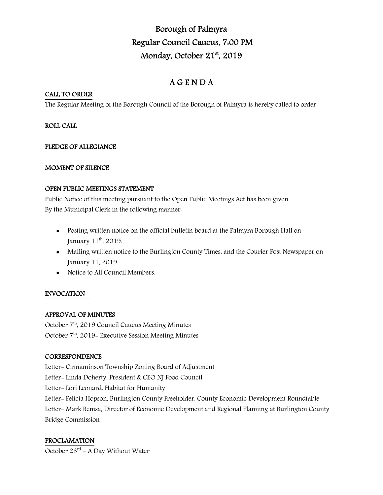# Borough of Palmyra Regular Council Caucus, 7:00 PM Monday, October 21<sup>st</sup>, 2019

## A G E N D A

## CALL TO ORDER

The Regular Meeting of the Borough Council of the Borough of Palmyra is hereby called to order

## ROLL CALL

## PLEDGE OF ALLEGIANCE

## MOMENT OF SILENCE

## OPEN PUBLIC MEETINGS STATEMENT

Public Notice of this meeting pursuant to the Open Public Meetings Act has been given By the Municipal Clerk in the following manner:

- Posting written notice on the official bulletin board at the Palmyra Borough Hall on January 11<sup>th</sup>, 2019.
- Mailing written notice to the Burlington County Times, and the Courier Post Newspaper on January 11, 2019.
- Notice to All Council Members.

## INVOCATION

## APPROVAL OF MINUTES

October 7<sup>th</sup>, 2019 Council Caucus Meeting Minutes October 7<sup>th</sup>, 2019- Executive Session Meeting Minutes

## **CORRESPONDENCE**

Letter- Cinnaminson Township Zoning Board of Adjustment Letter- Linda Doherty, President & CEO NJ Food Council Letter- Lori Leonard, Habitat for Humanity Letter- Felicia Hopson, Burlington County Freeholder, County Economic Development Roundtable Letter- Mark Remsa, Director of Economic Development and Regional Planning at Burlington County Bridge Commission

## PROCLAMATION

October  $23^{rd}$  – A Day Without Water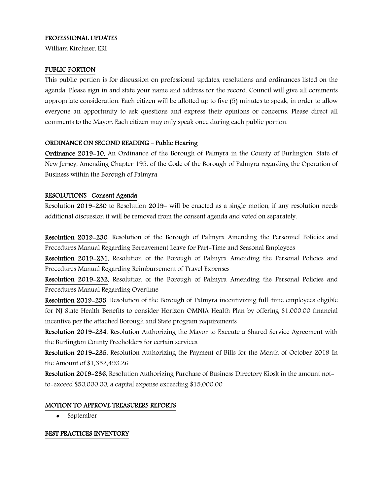#### PROFESSIONAL UPDATES

William Kirchner, ERI

#### PUBLIC PORTION

This public portion is for discussion on professional updates, resolutions and ordinances listed on the agenda. Please sign in and state your name and address for the record. Council will give all comments appropriate consideration. Each citizen will be allotted up to five (5) minutes to speak, in order to allow everyone an opportunity to ask questions and express their opinions or concerns. Please direct all comments to the Mayor. Each citizen may only speak once during each public portion.

#### ORDINANCE ON SECOND READING - Public Hearing

Ordinance 2019-10, An Ordinance of the Borough of Palmyra in the County of Burlington, State of New Jersey, Amending Chapter 195, of the Code of the Borough of Palmyra regarding the Operation of Business within the Borough of Palmyra.

#### RESOLUTIONS Consent Agenda

Resolution 2019-230 to Resolution 2019- will be enacted as a single motion, if any resolution needs additional discussion it will be removed from the consent agenda and voted on separately.

Resolution 2019-230, Resolution of the Borough of Palmyra Amending the Personnel Policies and Procedures Manual Regarding Bereavement Leave for Part-Time and Seasonal Employees

Resolution 2019-231, Resolution of the Borough of Palmyra Amending the Personal Policies and Procedures Manual Regarding Reimbursement of Travel Expenses

Resolution 2019-232, Resolution of the Borough of Palmyra Amending the Personal Policies and Procedures Manual Regarding Overtime

Resolution 2019-233, Resolution of the Borough of Palmyra incentivizing full-time employees eligible for NJ State Health Benefits to consider Horizon OMNIA Health Plan by offering \$1,000.00 financial incentive per the attached Borough and State program requirements

Resolution 2019-234, Resolution Authorizing the Mayor to Execute a Shared Service Agreement with the Burlington County Freeholders for certain services.

Resolution 2019-235, Resolution Authorizing the Payment of Bills for the Month of October 2019 In the Amount of \$1,352,493.26

Resolution 2019-236, Resolution Authorizing Purchase of Business Directory Kiosk in the amount notto-exceed \$50,000.00, a capital expense exceeding \$15,000.00

#### MOTION TO APPROVE TREASURERS REPORTS

• September

#### BEST PRACTICES INVENTORY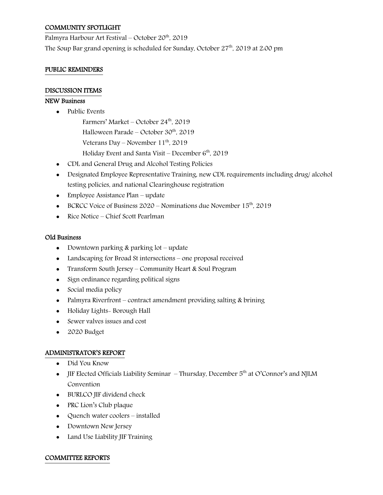## COMMUNITY SPOTLIGHT

Palmyra Harbour Art Festival – October 20th, 2019 The Soup Bar grand opening is scheduled for Sunday, October  $27<sup>th</sup>$ , 2019 at 2:00 pm

#### PUBLIC REMINDERS

#### DISCUSSION ITEMS

#### NEW Business

- Public Events
	- Farmers' Market October  $24<sup>th</sup>$ , 2019
	- Halloween Parade October 30<sup>th</sup>, 2019
	- Veterans Day November  $11^{th}$ , 2019
	- Holiday Event and Santa Visit December  $6<sup>th</sup>$ , 2019
- CDL and General Drug and Alcohol Testing Policies
- Designated Employee Representative Training, new CDL requirements including drug/ alcohol testing policies, and national Clearinghouse registration
- Employee Assistance Plan update
- BCRCC Voice of Business  $2020$  Nominations due November  $15<sup>th</sup>$ , 2019
- Rice Notice Chief Scott Pearlman

#### Old Business

- Downtown parking  $&$  parking  $&$  pothermulate
- Landscaping for Broad St intersections one proposal received
- Transform South Jersey Community Heart & Soul Program
- Sign ordinance regarding political signs
- Social media policy
- Palmyra Riverfront contract amendment providing salting & brining
- Holiday Lights- Borough Hall
- Sewer valves issues and cost
- 2020 Budget

#### ADMINISTRATOR'S REPORT

- Did You Know
- JIF Elected Officials Liability Seminar  $-$  Thursday, December  $5<sup>th</sup>$  at O'Connor's and NJLM Convention
- BURLCO JIF dividend check
- PRC Lion's Club plaque
- Quench water coolers installed
- Downtown New Jersey
- Land Use Liability JIF Training

#### COMMITTEE REPORTS